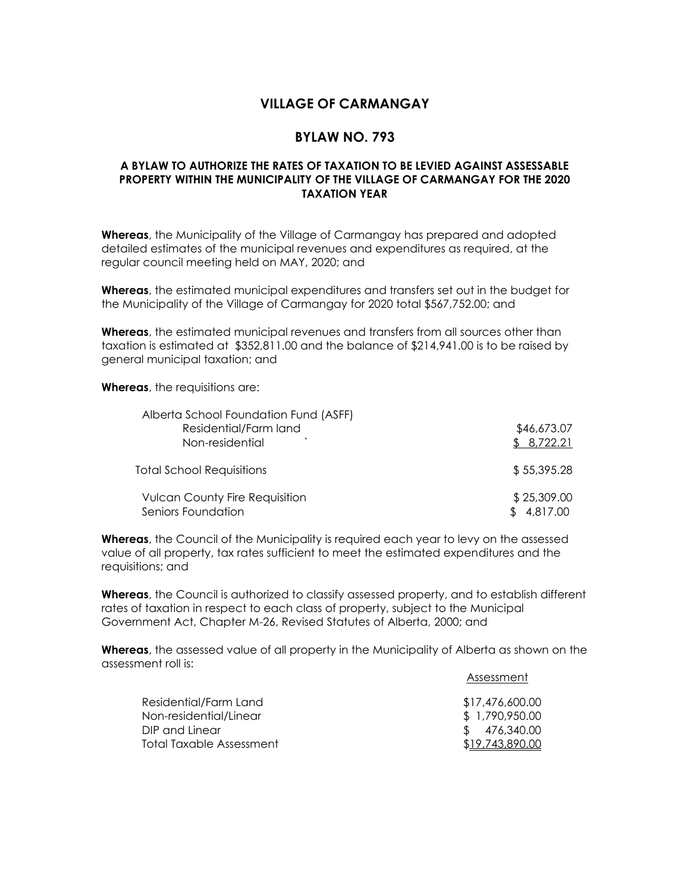## **VILLAGE OF CARMANGAY**

## **BYLAW NO. 793**

## **A BYLAW TO AUTHORIZE THE RATES OF TAXATION TO BE LEVIED AGAINST ASSESSABLE PROPERTY WITHIN THE MUNICIPALITY OF THE VILLAGE OF CARMANGAY FOR THE 2020 TAXATION YEAR**

**Whereas**, the Municipality of the Village of Carmangay has prepared and adopted detailed estimates of the municipal revenues and expenditures as required, at the regular council meeting held on MAY, 2020; and

**Whereas**, the estimated municipal expenditures and transfers set out in the budget for the Municipality of the Village of Carmangay for 2020 total \$567,752.00; and

**Whereas**, the estimated municipal revenues and transfers from all sources other than taxation is estimated at \$352,811.00 and the balance of \$214,941.00 is to be raised by general municipal taxation; and

**Whereas**, the requisitions are:

| Alberta School Foundation Fund (ASFF) |             |
|---------------------------------------|-------------|
| Residential/Farm land                 | \$46,673.07 |
| Non-residential                       | \$8,722.21  |
| <b>Total School Requisitions</b>      | \$55,395.28 |
| <b>Vulcan County Fire Requisition</b> | \$25,309.00 |
| Seniors Foundation                    | \$4,817.00  |

**Whereas**, the Council of the Municipality is required each year to levy on the assessed value of all property, tax rates sufficient to meet the estimated expenditures and the requisitions; and

**Whereas**, the Council is authorized to classify assessed property, and to establish different rates of taxation in respect to each class of property, subject to the Municipal Government Act, Chapter M-26, Revised Statutes of Alberta, 2000; and

**Whereas**, the assessed value of all property in the Municipality of Alberta as shown on the assessment roll is:

Assessment

| Residential/Farm Land    | \$17,476,600.00 |
|--------------------------|-----------------|
| Non-residential/Linear   | \$ 1,790,950.00 |
| DIP and Linear           | \$ 476.340.00   |
| Total Taxable Assessment | \$19,743,890.00 |